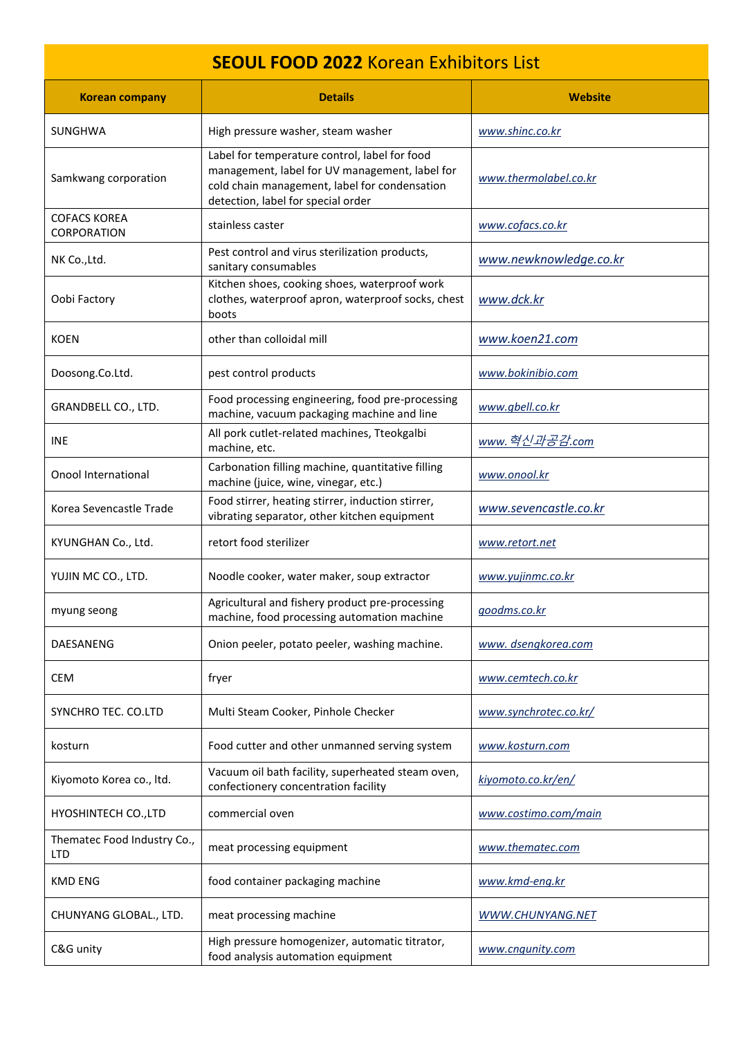| <b>SEOUL FOOD 2022 Korean Exhibitors List</b> |                                                                                                                                                                                        |                         |  |
|-----------------------------------------------|----------------------------------------------------------------------------------------------------------------------------------------------------------------------------------------|-------------------------|--|
| <b>Korean company</b>                         | <b>Details</b>                                                                                                                                                                         | <b>Website</b>          |  |
| SUNGHWA                                       | High pressure washer, steam washer                                                                                                                                                     | www.shinc.co.kr         |  |
| Samkwang corporation                          | Label for temperature control, label for food<br>management, label for UV management, label for<br>cold chain management, label for condensation<br>detection, label for special order | www.thermolabel.co.kr   |  |
| <b>COFACS KOREA</b><br>CORPORATION            | stainless caster                                                                                                                                                                       | www.cofacs.co.kr        |  |
| NK Co., Ltd.                                  | Pest control and virus sterilization products,<br>sanitary consumables                                                                                                                 | www.newknowledge.co.kr  |  |
| Oobi Factory                                  | Kitchen shoes, cooking shoes, waterproof work<br>clothes, waterproof apron, waterproof socks, chest<br>boots                                                                           | www.dck.kr              |  |
| <b>KOEN</b>                                   | other than colloidal mill                                                                                                                                                              | www.koen21.com          |  |
| Doosong.Co.Ltd.                               | pest control products                                                                                                                                                                  | www.bokinibio.com       |  |
| GRANDBELL CO., LTD.                           | Food processing engineering, food pre-processing<br>machine, vacuum packaging machine and line                                                                                         | www.gbell.co.kr         |  |
| INE                                           | All pork cutlet-related machines, Tteokgalbi<br>machine, etc.                                                                                                                          | www.혁신과공감.com           |  |
| Onool International                           | Carbonation filling machine, quantitative filling<br>machine (juice, wine, vinegar, etc.)                                                                                              | www.onool.kr            |  |
| Korea Sevencastle Trade                       | Food stirrer, heating stirrer, induction stirrer,<br>vibrating separator, other kitchen equipment                                                                                      | www.sevencastle.co.kr   |  |
| KYUNGHAN Co., Ltd.                            | retort food sterilizer                                                                                                                                                                 | www.retort.net          |  |
| YUJIN MC CO., LTD.                            | Noodle cooker, water maker, soup extractor                                                                                                                                             | www.yujinmc.co.kr       |  |
| myung seong                                   | Agricultural and fishery product pre-processing<br>machine, food processing automation machine                                                                                         | goodms.co.kr            |  |
| DAESANENG                                     | Onion peeler, potato peeler, washing machine.                                                                                                                                          | www.dsengkorea.com      |  |
| <b>CEM</b>                                    | fryer                                                                                                                                                                                  | www.cemtech.co.kr       |  |
| SYNCHRO TEC. CO.LTD                           | Multi Steam Cooker, Pinhole Checker                                                                                                                                                    | www.synchrotec.co.kr/   |  |
| kosturn                                       | Food cutter and other unmanned serving system                                                                                                                                          | www.kosturn.com         |  |
| Kiyomoto Korea co., ltd.                      | Vacuum oil bath facility, superheated steam oven,<br>confectionery concentration facility                                                                                              | kiyomoto.co.kr/en/      |  |
| HYOSHINTECH CO., LTD                          | commercial oven                                                                                                                                                                        | www.costimo.com/main    |  |
| Thematec Food Industry Co.,<br><b>LTD</b>     | meat processing equipment                                                                                                                                                              | www.thematec.com        |  |
| <b>KMD ENG</b>                                | food container packaging machine                                                                                                                                                       | www.kmd-eng.kr          |  |
| CHUNYANG GLOBAL., LTD.                        | meat processing machine                                                                                                                                                                | <b>WWW.CHUNYANG.NET</b> |  |
| C&G unity                                     | High pressure homogenizer, automatic titrator,<br>food analysis automation equipment                                                                                                   | www.cngunity.com        |  |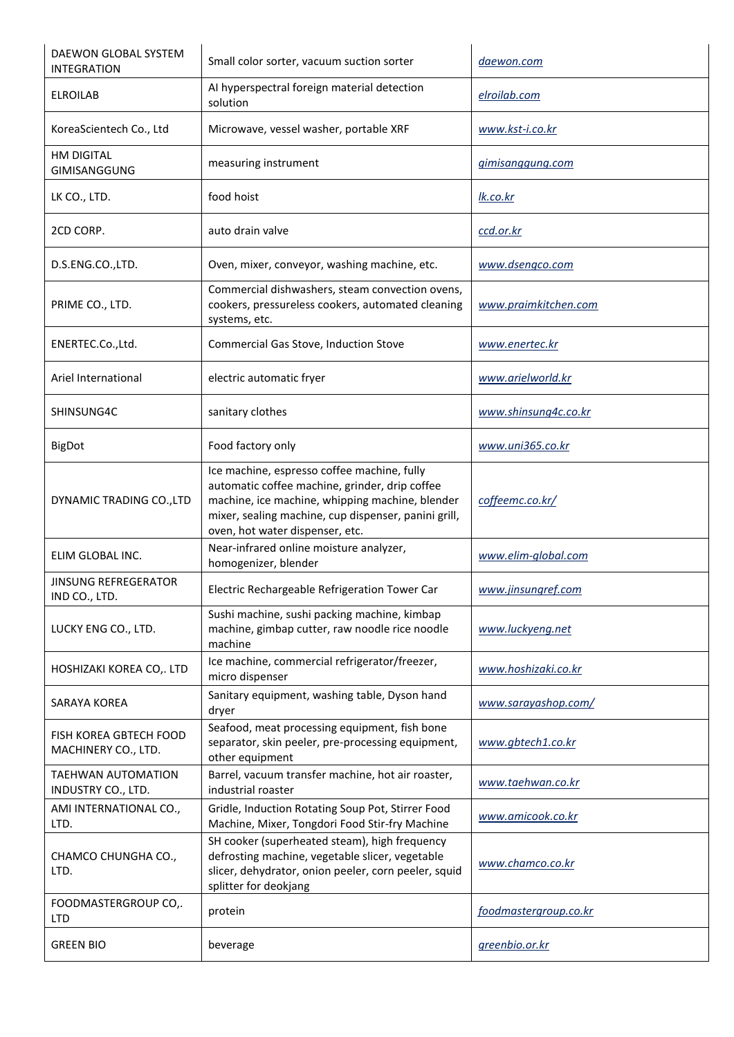| DAEWON GLOBAL SYSTEM<br><b>INTEGRATION</b>      | Small color sorter, vacuum suction sorter                                                                                                                                                                                                   | daewon.com            |
|-------------------------------------------------|---------------------------------------------------------------------------------------------------------------------------------------------------------------------------------------------------------------------------------------------|-----------------------|
| <b>ELROILAB</b>                                 | AI hyperspectral foreign material detection<br>solution                                                                                                                                                                                     | elroilab.com          |
| KoreaScientech Co., Ltd                         | Microwave, vessel washer, portable XRF                                                                                                                                                                                                      | www.kst-i.co.kr       |
| <b>HM DIGITAL</b><br>GIMISANGGUNG               | measuring instrument                                                                                                                                                                                                                        | gimisanggung.com      |
| LK CO., LTD.                                    | food hoist                                                                                                                                                                                                                                  | <u>lk.co.kr</u>       |
| 2CD CORP.                                       | auto drain valve                                                                                                                                                                                                                            | ccd.or.kr             |
| D.S.ENG.CO.,LTD.                                | Oven, mixer, conveyor, washing machine, etc.                                                                                                                                                                                                | www.dsengco.com       |
| PRIME CO., LTD.                                 | Commercial dishwashers, steam convection ovens,<br>cookers, pressureless cookers, automated cleaning<br>systems, etc.                                                                                                                       | www.praimkitchen.com  |
| ENERTEC.Co.,Ltd.                                | Commercial Gas Stove, Induction Stove                                                                                                                                                                                                       | www.enertec.kr        |
| Ariel International                             | electric automatic fryer                                                                                                                                                                                                                    | www.arielworld.kr     |
| SHINSUNG4C                                      | sanitary clothes                                                                                                                                                                                                                            | www.shinsung4c.co.kr  |
| <b>BigDot</b>                                   | Food factory only                                                                                                                                                                                                                           | www.uni365.co.kr      |
| DYNAMIC TRADING CO., LTD                        | Ice machine, espresso coffee machine, fully<br>automatic coffee machine, grinder, drip coffee<br>machine, ice machine, whipping machine, blender<br>mixer, sealing machine, cup dispenser, panini grill,<br>oven, hot water dispenser, etc. | coffeemc.co.kr/       |
| ELIM GLOBAL INC.                                | Near-infrared online moisture analyzer,<br>homogenizer, blender                                                                                                                                                                             | www.elim-global.com   |
| <b>JINSUNG REFREGERATOR</b><br>IND CO., LTD.    | Electric Rechargeable Refrigeration Tower Car                                                                                                                                                                                               | www.jinsungref.com    |
| LUCKY ENG CO., LTD.                             | Sushi machine, sushi packing machine, kimbap<br>machine, gimbap cutter, raw noodle rice noodle<br>machine                                                                                                                                   | www.luckyeng.net      |
| HOSHIZAKI KOREA CO,. LTD                        | Ice machine, commercial refrigerator/freezer,<br>micro dispenser                                                                                                                                                                            | www.hoshizaki.co.kr   |
| SARAYA KOREA                                    | Sanitary equipment, washing table, Dyson hand<br>dryer                                                                                                                                                                                      | www.sarayashop.com/   |
| FISH KOREA GBTECH FOOD<br>MACHINERY CO., LTD.   | Seafood, meat processing equipment, fish bone<br>separator, skin peeler, pre-processing equipment,<br>other equipment                                                                                                                       | www.gbtech1.co.kr     |
| <b>TAEHWAN AUTOMATION</b><br>INDUSTRY CO., LTD. | Barrel, vacuum transfer machine, hot air roaster,<br>industrial roaster                                                                                                                                                                     | www.taehwan.co.kr     |
| AMI INTERNATIONAL CO.,<br>LTD.                  | Gridle, Induction Rotating Soup Pot, Stirrer Food<br>Machine, Mixer, Tongdori Food Stir-fry Machine                                                                                                                                         | www.amicook.co.kr     |
| CHAMCO CHUNGHA CO.,<br>LTD.                     | SH cooker (superheated steam), high frequency<br>defrosting machine, vegetable slicer, vegetable<br>slicer, dehydrator, onion peeler, corn peeler, squid<br>splitter for deokjang                                                           | www.chamco.co.kr      |
| FOODMASTERGROUP CO,.<br><b>LTD</b>              | protein                                                                                                                                                                                                                                     | foodmastergroup.co.kr |
| <b>GREEN BIO</b>                                | beverage                                                                                                                                                                                                                                    | greenbio.or.kr        |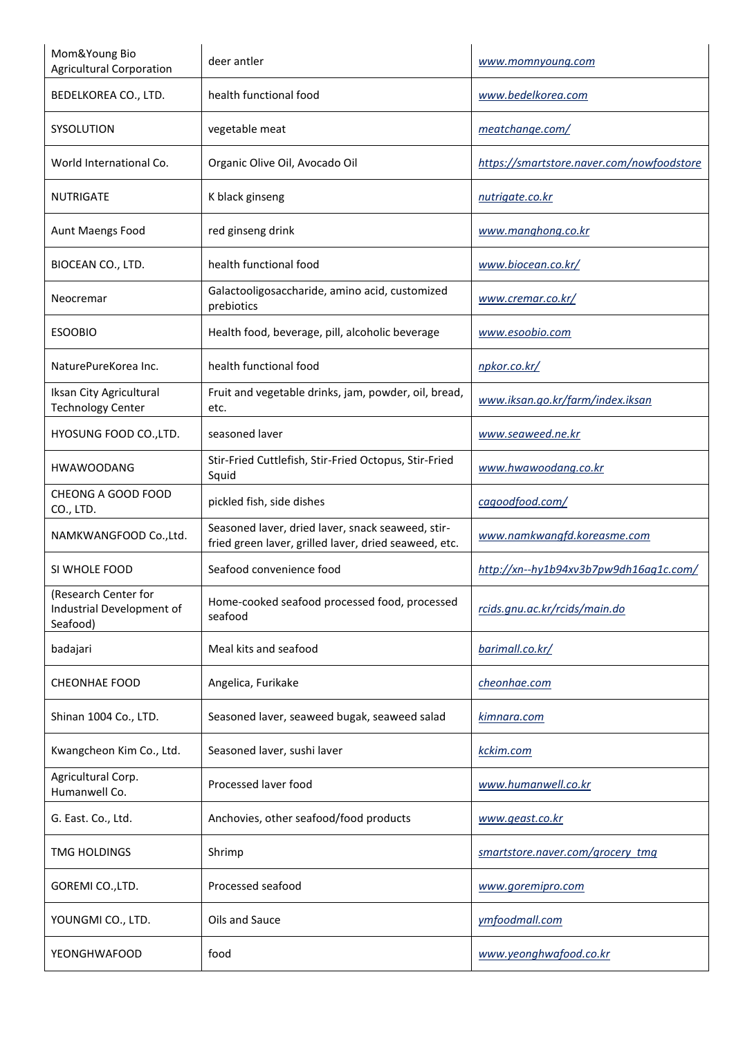| Mom&Young Bio<br><b>Agricultural Corporation</b>              | deer antler                                                                                                | www.momnyoung.com                         |
|---------------------------------------------------------------|------------------------------------------------------------------------------------------------------------|-------------------------------------------|
| BEDELKOREA CO., LTD.                                          | health functional food                                                                                     | www.bedelkorea.com                        |
| <b>SYSOLUTION</b>                                             | vegetable meat                                                                                             | meatchange.com/                           |
| World International Co.                                       | Organic Olive Oil, Avocado Oil                                                                             | https://smartstore.naver.com/nowfoodstore |
| <b>NUTRIGATE</b>                                              | K black ginseng                                                                                            | nutrigate.co.kr                           |
| <b>Aunt Maengs Food</b>                                       | red ginseng drink                                                                                          | www.manghong.co.kr                        |
| BIOCEAN CO., LTD.                                             | health functional food                                                                                     | www.biocean.co.kr/                        |
| Neocremar                                                     | Galactooligosaccharide, amino acid, customized<br>prebiotics                                               | www.cremar.co.kr/                         |
| <b>ESOOBIO</b>                                                | Health food, beverage, pill, alcoholic beverage                                                            | www.esoobio.com                           |
| NaturePureKorea Inc.                                          | health functional food                                                                                     | npkor.co.kr/                              |
| Iksan City Agricultural<br><b>Technology Center</b>           | Fruit and vegetable drinks, jam, powder, oil, bread,<br>etc.                                               | www.iksan.go.kr/farm/index.iksan          |
| HYOSUNG FOOD CO., LTD.                                        | seasoned laver                                                                                             | www.seaweed.ne.kr                         |
| <b>HWAWOODANG</b>                                             | Stir-Fried Cuttlefish, Stir-Fried Octopus, Stir-Fried<br>Squid                                             | www.hwawoodang.co.kr                      |
| CHEONG A GOOD FOOD<br>CO., LTD.                               | pickled fish, side dishes                                                                                  | cagoodfood.com/                           |
| NAMKWANGFOOD Co., Ltd.                                        | Seasoned laver, dried laver, snack seaweed, stir-<br>fried green laver, grilled laver, dried seaweed, etc. | www.namkwangfd.koreasme.com               |
| SI WHOLE FOOD                                                 | Seafood convenience food                                                                                   | http://xn--hy1b94xv3b7pw9dh16ag1c.com/    |
| (Research Center for<br>Industrial Development of<br>Seafood) | Home-cooked seafood processed food, processed<br>seafood                                                   | rcids.gnu.ac.kr/rcids/main.do             |
| badajari                                                      | Meal kits and seafood                                                                                      | barimall.co.kr/                           |
| <b>CHEONHAE FOOD</b>                                          | Angelica, Furikake                                                                                         | cheonhae.com                              |
| Shinan 1004 Co., LTD.                                         | Seasoned laver, seaweed bugak, seaweed salad                                                               | <u>kimnara.com</u>                        |
| Kwangcheon Kim Co., Ltd.                                      | Seasoned laver, sushi laver                                                                                | kckim.com                                 |
| Agricultural Corp.<br>Humanwell Co.                           | Processed laver food                                                                                       | www.humanwell.co.kr                       |
| G. East. Co., Ltd.                                            | Anchovies, other seafood/food products                                                                     | www.geast.co.kr                           |
| <b>TMG HOLDINGS</b>                                           | Shrimp                                                                                                     | smartstore.naver.com/grocery_tmg          |
| GOREMI CO., LTD.                                              | Processed seafood                                                                                          | www.goremipro.com                         |
| YOUNGMI CO., LTD.                                             | Oils and Sauce                                                                                             | ymfoodmall.com                            |
| YEONGHWAFOOD                                                  | food                                                                                                       | www.yeonghwafood.co.kr                    |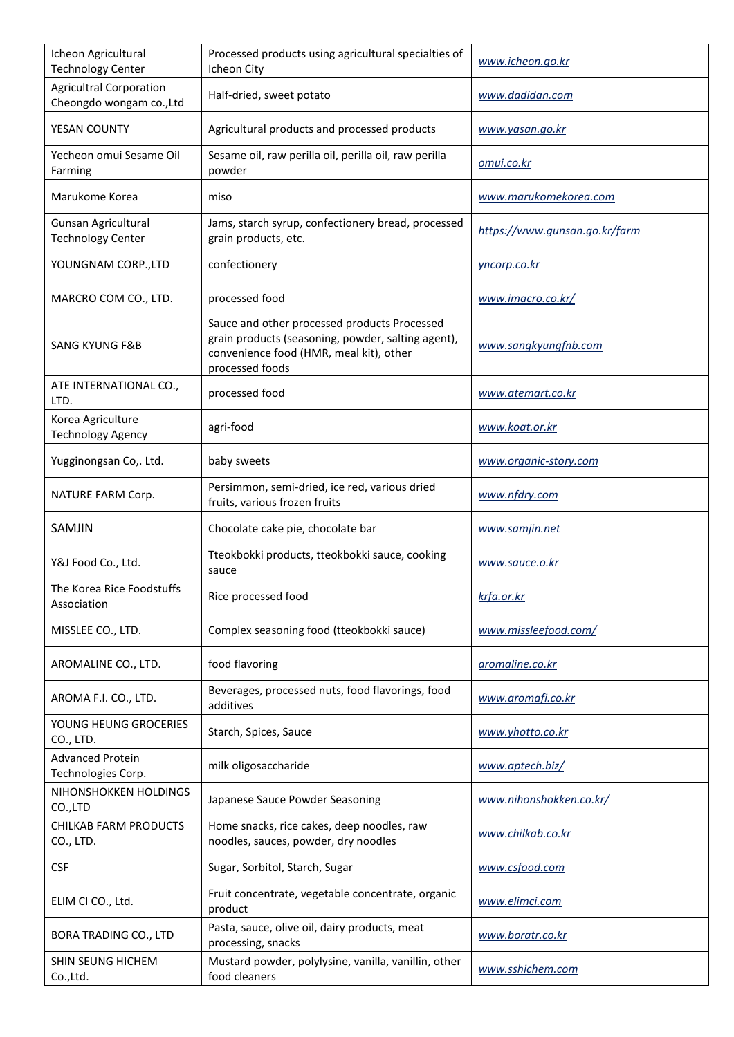| Icheon Agricultural<br><b>Technology Center</b>            | Processed products using agricultural specialties of<br>Icheon City                                                                                              | www.icheon.go.kr              |
|------------------------------------------------------------|------------------------------------------------------------------------------------------------------------------------------------------------------------------|-------------------------------|
| <b>Agricultral Corporation</b><br>Cheongdo wongam co., Ltd | Half-dried, sweet potato                                                                                                                                         | www.dadidan.com               |
| YESAN COUNTY                                               | Agricultural products and processed products                                                                                                                     | <u>www.yasan.go.kr</u>        |
| Yecheon omui Sesame Oil<br>Farming                         | Sesame oil, raw perilla oil, perilla oil, raw perilla<br>powder                                                                                                  | <u>omui.co.kr</u>             |
| Marukome Korea                                             | miso                                                                                                                                                             | www.marukomekorea.com         |
| Gunsan Agricultural<br><b>Technology Center</b>            | Jams, starch syrup, confectionery bread, processed<br>grain products, etc.                                                                                       | https://www.gunsan.go.kr/farm |
| YOUNGNAM CORP., LTD                                        | confectionery                                                                                                                                                    | yncorp.co.kr                  |
| MARCRO COM CO., LTD.                                       | processed food                                                                                                                                                   | www.imacro.co.kr/             |
| <b>SANG KYUNG F&amp;B</b>                                  | Sauce and other processed products Processed<br>grain products (seasoning, powder, salting agent),<br>convenience food (HMR, meal kit), other<br>processed foods | www.sangkyungfnb.com          |
| ATE INTERNATIONAL CO.,<br>LTD.                             | processed food                                                                                                                                                   | www.atemart.co.kr             |
| Korea Agriculture<br><b>Technology Agency</b>              | agri-food                                                                                                                                                        | www.koat.or.kr                |
| Yugginongsan Co,. Ltd.                                     | baby sweets                                                                                                                                                      | www.organic-story.com         |
| NATURE FARM Corp.                                          | Persimmon, semi-dried, ice red, various dried<br>fruits, various frozen fruits                                                                                   | www.nfdry.com                 |
| SAMJIN                                                     | Chocolate cake pie, chocolate bar                                                                                                                                | www.samjin.net                |
| Y&J Food Co., Ltd.                                         | Tteokbokki products, tteokbokki sauce, cooking<br>sauce                                                                                                          | www.sauce.o.kr                |
| The Korea Rice Foodstuffs<br>Association                   | Rice processed food                                                                                                                                              | krfa.or.kr                    |
| MISSLEE CO., LTD.                                          | Complex seasoning food (tteokbokki sauce)                                                                                                                        | www.missleefood.com/          |
| AROMALINE CO., LTD.                                        | food flavoring                                                                                                                                                   | aromaline.co.kr               |
| AROMA F.I. CO., LTD.                                       | Beverages, processed nuts, food flavorings, food<br>additives                                                                                                    | www.aromafi.co.kr             |
| YOUNG HEUNG GROCERIES<br>CO., LTD.                         | Starch, Spices, Sauce                                                                                                                                            | www.yhotto.co.kr              |
| <b>Advanced Protein</b><br>Technologies Corp.              | milk oligosaccharide                                                                                                                                             | www.aptech.biz/               |
| NIHONSHOKKEN HOLDINGS<br>CO.,LTD                           | Japanese Sauce Powder Seasoning                                                                                                                                  | www.nihonshokken.co.kr/       |
| <b>CHILKAB FARM PRODUCTS</b><br>CO., LTD.                  | Home snacks, rice cakes, deep noodles, raw<br>noodles, sauces, powder, dry noodles                                                                               | www.chilkab.co.kr             |
| <b>CSF</b>                                                 | Sugar, Sorbitol, Starch, Sugar                                                                                                                                   | www.csfood.com                |
| ELIM CI CO., Ltd.                                          | Fruit concentrate, vegetable concentrate, organic<br>product                                                                                                     | www.elimci.com                |
| <b>BORA TRADING CO., LTD</b>                               | Pasta, sauce, olive oil, dairy products, meat<br>processing, snacks                                                                                              | www.boratr.co.kr              |
| SHIN SEUNG HICHEM<br>Co., Ltd.                             | Mustard powder, polylysine, vanilla, vanillin, other<br>food cleaners                                                                                            | www.sshichem.com              |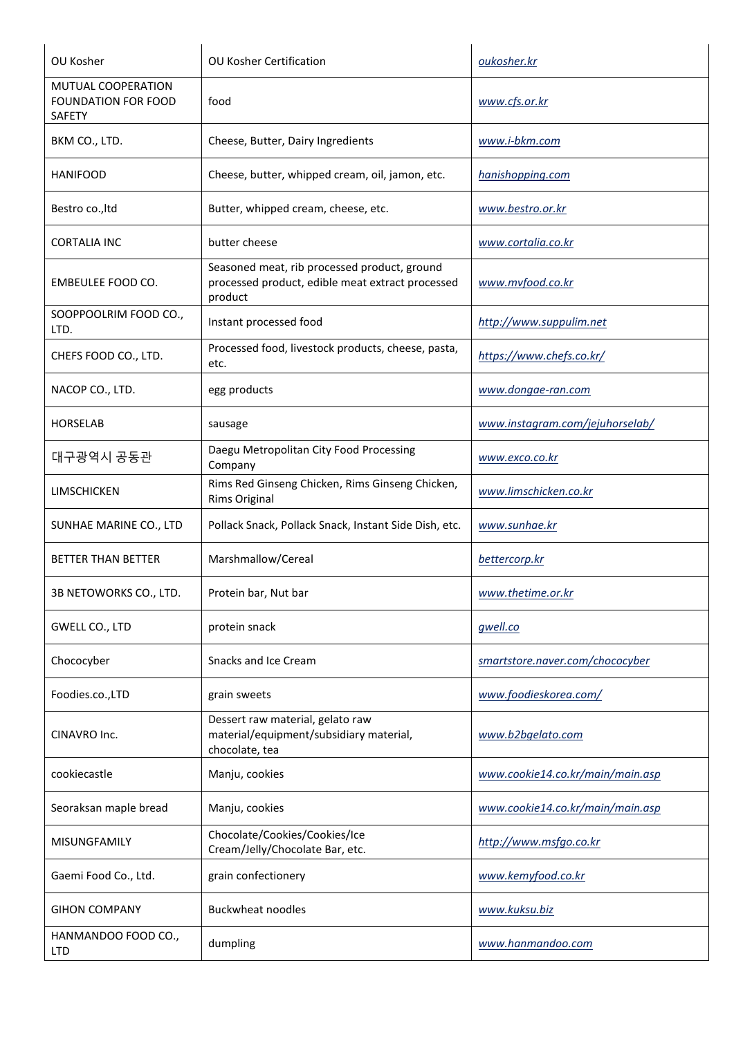| OU Kosher                                                         | <b>OU Kosher Certification</b>                                                                              | oukosher.kr                      |
|-------------------------------------------------------------------|-------------------------------------------------------------------------------------------------------------|----------------------------------|
| MUTUAL COOPERATION<br><b>FOUNDATION FOR FOOD</b><br><b>SAFETY</b> | food                                                                                                        | www.cfs.or.kr                    |
| BKM CO., LTD.                                                     | Cheese, Butter, Dairy Ingredients                                                                           | www.i-bkm.com                    |
| <b>HANIFOOD</b>                                                   | Cheese, butter, whipped cream, oil, jamon, etc.                                                             | hanishopping.com                 |
| Bestro co., Itd                                                   | Butter, whipped cream, cheese, etc.                                                                         | www.bestro.or.kr                 |
| <b>CORTALIA INC</b>                                               | butter cheese                                                                                               | www.cortalia.co.kr               |
| EMBEULEE FOOD CO.                                                 | Seasoned meat, rib processed product, ground<br>processed product, edible meat extract processed<br>product | www.mvfood.co.kr                 |
| SOOPPOOLRIM FOOD CO.,<br>LTD.                                     | Instant processed food                                                                                      | http://www.suppulim.net          |
| CHEFS FOOD CO., LTD.                                              | Processed food, livestock products, cheese, pasta,<br>etc.                                                  | https://www.chefs.co.kr/         |
| NACOP CO., LTD.                                                   | egg products                                                                                                | www.dongae-ran.com               |
| <b>HORSELAB</b>                                                   | sausage                                                                                                     | www.instagram.com/jejuhorselab/  |
| 대구광역시 공동관                                                         | Daegu Metropolitan City Food Processing<br>Company                                                          | www.exco.co.kr                   |
| <b>LIMSCHICKEN</b>                                                | Rims Red Ginseng Chicken, Rims Ginseng Chicken,<br>Rims Original                                            | www.limschicken.co.kr            |
| SUNHAE MARINE CO., LTD                                            | Pollack Snack, Pollack Snack, Instant Side Dish, etc.                                                       | www.sunhae.kr                    |
| <b>BETTER THAN BETTER</b>                                         | Marshmallow/Cereal                                                                                          | bettercorp.kr                    |
| 3B NETOWORKS CO., LTD.                                            | Protein bar, Nut bar                                                                                        | www.thetime.or.kr                |
| GWELL CO., LTD                                                    | protein snack                                                                                               | gwell.co                         |
| Chococyber                                                        | Snacks and Ice Cream                                                                                        | smartstore.naver.com/chococyber  |
| Foodies.co.,LTD                                                   | grain sweets                                                                                                | www.foodieskorea.com/            |
| CINAVRO Inc.                                                      | Dessert raw material, gelato raw<br>material/equipment/subsidiary material,<br>chocolate, tea               | www.b2bgelato.com                |
| cookiecastle                                                      | Manju, cookies                                                                                              | www.cookie14.co.kr/main/main.asp |
| Seoraksan maple bread                                             | Manju, cookies                                                                                              | www.cookie14.co.kr/main/main.asp |
| <b>MISUNGFAMILY</b>                                               | Chocolate/Cookies/Cookies/Ice<br>Cream/Jelly/Chocolate Bar, etc.                                            | http://www.msfgo.co.kr           |
| Gaemi Food Co., Ltd.                                              | grain confectionery                                                                                         | www.kemyfood.co.kr               |
| <b>GIHON COMPANY</b>                                              | <b>Buckwheat noodles</b>                                                                                    | www.kuksu.biz                    |
| HANMANDOO FOOD CO.,<br><b>LTD</b>                                 | dumpling                                                                                                    | www.hanmandoo.com                |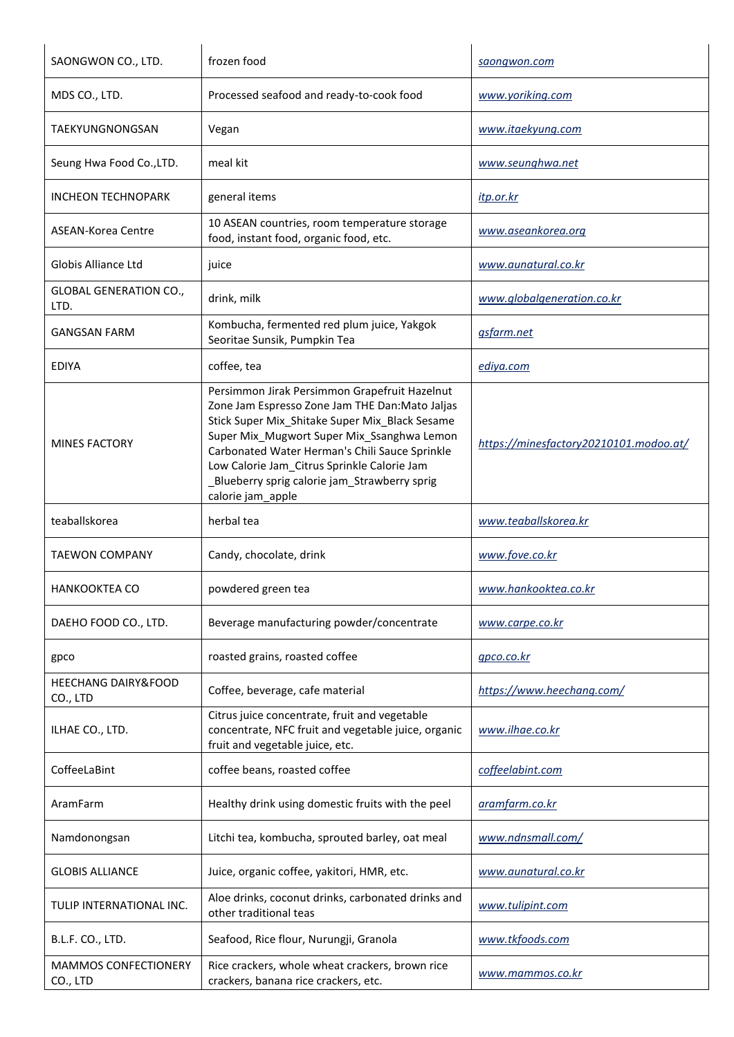| SAONGWON CO., LTD.                         | frozen food                                                                                                                                                                                                                                                                                                                                                            | saongwon.com                           |
|--------------------------------------------|------------------------------------------------------------------------------------------------------------------------------------------------------------------------------------------------------------------------------------------------------------------------------------------------------------------------------------------------------------------------|----------------------------------------|
| MDS CO., LTD.                              | Processed seafood and ready-to-cook food                                                                                                                                                                                                                                                                                                                               | www.yoriking.com                       |
| TAEKYUNGNONGSAN                            | Vegan                                                                                                                                                                                                                                                                                                                                                                  | www.itaekyung.com                      |
| Seung Hwa Food Co., LTD.                   | meal kit                                                                                                                                                                                                                                                                                                                                                               | www.seunghwa.net                       |
| <b>INCHEON TECHNOPARK</b>                  | general items                                                                                                                                                                                                                                                                                                                                                          | <u>itp.or.kr</u>                       |
| ASEAN-Korea Centre                         | 10 ASEAN countries, room temperature storage<br>food, instant food, organic food, etc.                                                                                                                                                                                                                                                                                 | www.aseankorea.org                     |
| <b>Globis Alliance Ltd</b>                 | juice                                                                                                                                                                                                                                                                                                                                                                  | www.aunatural.co.kr                    |
| <b>GLOBAL GENERATION CO.,</b><br>LTD.      | drink, milk                                                                                                                                                                                                                                                                                                                                                            | www.globalgeneration.co.kr             |
| <b>GANGSAN FARM</b>                        | Kombucha, fermented red plum juice, Yakgok<br>Seoritae Sunsik, Pumpkin Tea                                                                                                                                                                                                                                                                                             | gsfarm.net                             |
| <b>EDIYA</b>                               | coffee, tea                                                                                                                                                                                                                                                                                                                                                            | ediya.com                              |
| <b>MINES FACTORY</b>                       | Persimmon Jirak Persimmon Grapefruit Hazelnut<br>Zone Jam Espresso Zone Jam THE Dan:Mato Jaljas<br>Stick Super Mix_Shitake Super Mix_Black Sesame<br>Super Mix_Mugwort Super Mix_Ssanghwa Lemon<br>Carbonated Water Herman's Chili Sauce Sprinkle<br>Low Calorie Jam_Citrus Sprinkle Calorie Jam<br>_Blueberry sprig calorie jam_Strawberry sprig<br>calorie jam_apple | https://minesfactory20210101.modoo.at/ |
| teaballskorea                              | herbal tea                                                                                                                                                                                                                                                                                                                                                             | www.teaballskorea.kr                   |
| <b>TAEWON COMPANY</b>                      | Candy, chocolate, drink                                                                                                                                                                                                                                                                                                                                                | www.fove.co.kr                         |
| <b>HANKOOKTEA CO</b>                       | powdered green tea                                                                                                                                                                                                                                                                                                                                                     | www.hankooktea.co.kr                   |
| DAEHO FOOD CO., LTD.                       | Beverage manufacturing powder/concentrate                                                                                                                                                                                                                                                                                                                              | www.carpe.co.kr                        |
| gpco                                       | roasted grains, roasted coffee                                                                                                                                                                                                                                                                                                                                         | gpco.co.kr                             |
| <b>HEECHANG DAIRY&amp;FOOD</b><br>CO., LTD | Coffee, beverage, cafe material                                                                                                                                                                                                                                                                                                                                        | https://www.heechang.com/              |
| ILHAE CO., LTD.                            | Citrus juice concentrate, fruit and vegetable<br>concentrate, NFC fruit and vegetable juice, organic<br>fruit and vegetable juice, etc.                                                                                                                                                                                                                                | www.ilhae.co.kr                        |
| CoffeeLaBint                               | coffee beans, roasted coffee                                                                                                                                                                                                                                                                                                                                           | coffeelabint.com                       |
| AramFarm                                   | Healthy drink using domestic fruits with the peel                                                                                                                                                                                                                                                                                                                      | aramfarm.co.kr                         |
| Namdonongsan                               | Litchi tea, kombucha, sprouted barley, oat meal                                                                                                                                                                                                                                                                                                                        | www.ndnsmall.com/                      |
| <b>GLOBIS ALLIANCE</b>                     | Juice, organic coffee, yakitori, HMR, etc.                                                                                                                                                                                                                                                                                                                             | www.aunatural.co.kr                    |
| TULIP INTERNATIONAL INC.                   | Aloe drinks, coconut drinks, carbonated drinks and<br>other traditional teas                                                                                                                                                                                                                                                                                           | www.tulipint.com                       |
| B.L.F. CO., LTD.                           | Seafood, Rice flour, Nurungji, Granola                                                                                                                                                                                                                                                                                                                                 | www.tkfoods.com                        |
| MAMMOS CONFECTIONERY<br>CO., LTD           | Rice crackers, whole wheat crackers, brown rice<br>crackers, banana rice crackers, etc.                                                                                                                                                                                                                                                                                | www.mammos.co.kr                       |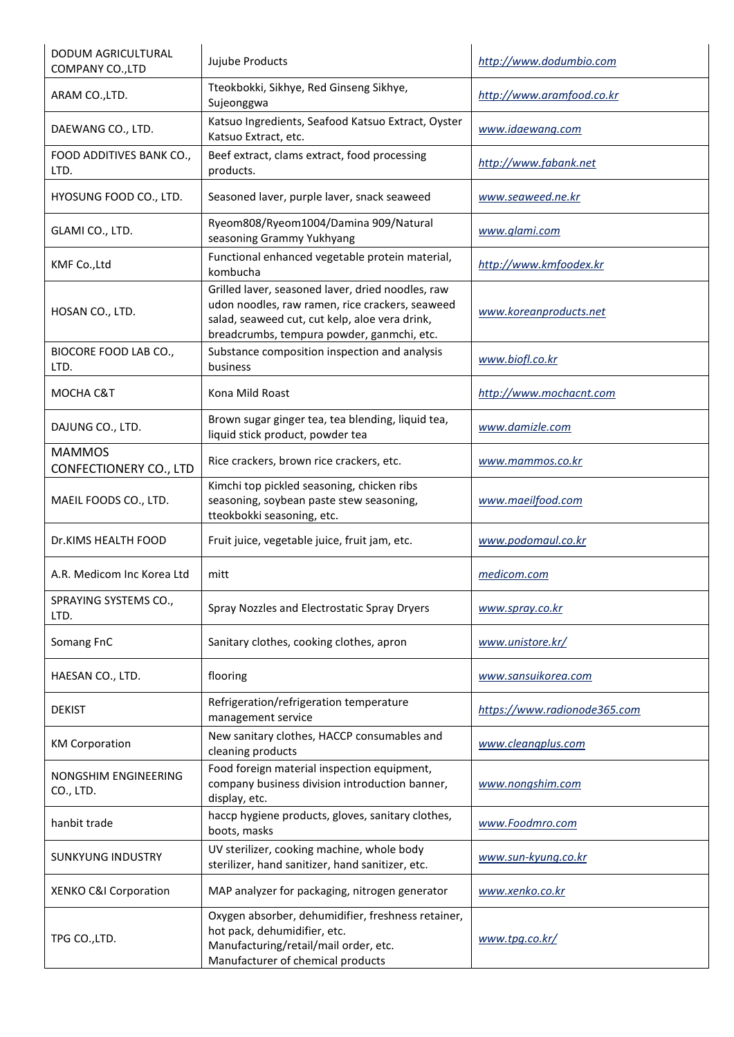| <b>DODUM AGRICULTURAL</b><br>COMPANY CO., LTD | Jujube Products                                                                                                                                                                                      | http://www.dodumbio.com      |
|-----------------------------------------------|------------------------------------------------------------------------------------------------------------------------------------------------------------------------------------------------------|------------------------------|
| ARAM CO., LTD.                                | Tteokbokki, Sikhye, Red Ginseng Sikhye,<br>Sujeonggwa                                                                                                                                                | http://www.aramfood.co.kr    |
| DAEWANG CO., LTD.                             | Katsuo Ingredients, Seafood Katsuo Extract, Oyster<br>Katsuo Extract, etc.                                                                                                                           | www.idaewang.com             |
| FOOD ADDITIVES BANK CO.,<br>LTD.              | Beef extract, clams extract, food processing<br>products.                                                                                                                                            | http://www.fabank.net        |
| HYOSUNG FOOD CO., LTD.                        | Seasoned laver, purple laver, snack seaweed                                                                                                                                                          | www.seaweed.ne.kr            |
| GLAMI CO., LTD.                               | Ryeom808/Ryeom1004/Damina 909/Natural<br>seasoning Grammy Yukhyang                                                                                                                                   | www.glami.com                |
| KMF Co., Ltd                                  | Functional enhanced vegetable protein material,<br>kombucha                                                                                                                                          | http://www.kmfoodex.kr       |
| HOSAN CO., LTD.                               | Grilled laver, seasoned laver, dried noodles, raw<br>udon noodles, raw ramen, rice crackers, seaweed<br>salad, seaweed cut, cut kelp, aloe vera drink,<br>breadcrumbs, tempura powder, ganmchi, etc. | www.koreanproducts.net       |
| BIOCORE FOOD LAB CO.,<br>LTD.                 | Substance composition inspection and analysis<br>business                                                                                                                                            | www.biofl.co.kr              |
| MOCHA C&T                                     | Kona Mild Roast                                                                                                                                                                                      | http://www.mochacnt.com      |
| DAJUNG CO., LTD.                              | Brown sugar ginger tea, tea blending, liquid tea,<br>liquid stick product, powder tea                                                                                                                | www.damizle.com              |
| <b>MAMMOS</b><br>CONFECTIONERY CO., LTD       | Rice crackers, brown rice crackers, etc.                                                                                                                                                             | <u>www.mammos.co.kr</u>      |
| MAEIL FOODS CO., LTD.                         | Kimchi top pickled seasoning, chicken ribs<br>seasoning, soybean paste stew seasoning,<br>tteokbokki seasoning, etc.                                                                                 | www.maeilfood.com            |
| Dr.KIMS HEALTH FOOD                           | Fruit juice, vegetable juice, fruit jam, etc.                                                                                                                                                        | www.podomaul.co.kr           |
| A.R. Medicom Inc Korea Ltd                    | mitt                                                                                                                                                                                                 | medicom.com                  |
| SPRAYING SYSTEMS CO.,<br>LTD.                 | Spray Nozzles and Electrostatic Spray Dryers                                                                                                                                                         | www.spray.co.kr              |
| Somang FnC                                    | Sanitary clothes, cooking clothes, apron                                                                                                                                                             | www.unistore.kr/             |
| HAESAN CO., LTD.                              | flooring                                                                                                                                                                                             | www.sansuikorea.com          |
| <b>DEKIST</b>                                 | Refrigeration/refrigeration temperature<br>management service                                                                                                                                        | https://www.radionode365.com |
| <b>KM Corporation</b>                         | New sanitary clothes, HACCP consumables and<br>cleaning products                                                                                                                                     | www.cleangplus.com           |
| NONGSHIM ENGINEERING<br>CO., LTD.             | Food foreign material inspection equipment,<br>company business division introduction banner,<br>display, etc.                                                                                       | www.nongshim.com             |
| hanbit trade                                  | haccp hygiene products, gloves, sanitary clothes,<br>boots, masks                                                                                                                                    | www.Foodmro.com              |
| <b>SUNKYUNG INDUSTRY</b>                      | UV sterilizer, cooking machine, whole body<br>sterilizer, hand sanitizer, hand sanitizer, etc.                                                                                                       | www.sun-kyung.co.kr          |
| XENKO C&I Corporation                         | MAP analyzer for packaging, nitrogen generator                                                                                                                                                       | www.xenko.co.kr              |
| TPG CO., LTD.                                 | Oxygen absorber, dehumidifier, freshness retainer,<br>hot pack, dehumidifier, etc.<br>Manufacturing/retail/mail order, etc.<br>Manufacturer of chemical products                                     | www.tpg.co.kr/               |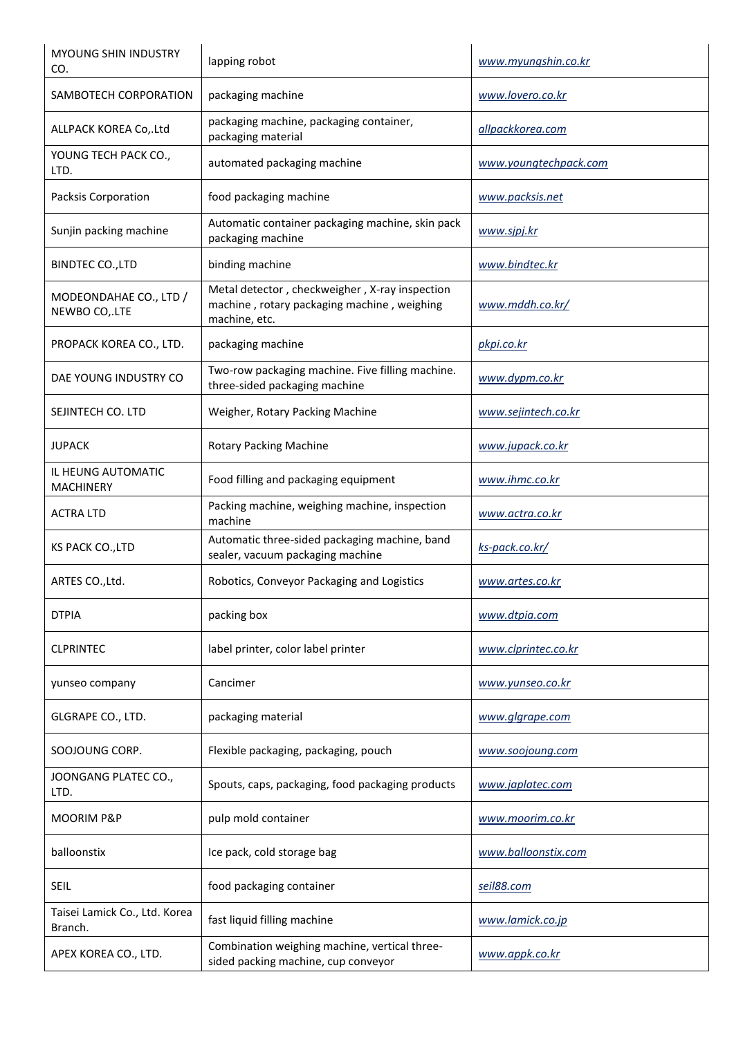| <b>MYOUNG SHIN INDUSTRY</b><br>CO.       | lapping robot                                                                                                  | www.myungshin.co.kr    |
|------------------------------------------|----------------------------------------------------------------------------------------------------------------|------------------------|
| SAMBOTECH CORPORATION                    | packaging machine                                                                                              | www.lovero.co.kr       |
| ALLPACK KOREA Co,.Ltd                    | packaging machine, packaging container,<br>packaging material                                                  | allpackkorea.com       |
| YOUNG TECH PACK CO.,<br>LTD.             | automated packaging machine                                                                                    | www.youngtechpack.com  |
| Packsis Corporation                      | food packaging machine                                                                                         | www.packsis.net        |
| Sunjin packing machine                   | Automatic container packaging machine, skin pack<br>packaging machine                                          | www.sjpj.kr            |
| <b>BINDTEC CO., LTD</b>                  | binding machine                                                                                                | www.bindtec.kr         |
| MODEONDAHAE CO., LTD /<br>NEWBO CO,.LTE  | Metal detector, checkweigher, X-ray inspection<br>machine, rotary packaging machine, weighing<br>machine, etc. | www.mddh.co.kr/        |
| PROPACK KOREA CO., LTD.                  | packaging machine                                                                                              | pkpi.co.kr             |
| DAE YOUNG INDUSTRY CO                    | Two-row packaging machine. Five filling machine.<br>three-sided packaging machine                              | www.dypm.co.kr         |
| SEJINTECH CO. LTD                        | Weigher, Rotary Packing Machine                                                                                | www.sejintech.co.kr    |
| JUPACK                                   | <b>Rotary Packing Machine</b>                                                                                  | www.jupack.co.kr       |
| IL HEUNG AUTOMATIC<br><b>MACHINERY</b>   | Food filling and packaging equipment                                                                           | www.ihmc.co.kr         |
| <b>ACTRA LTD</b>                         | Packing machine, weighing machine, inspection<br>machine                                                       | <u>www.actra.co.kr</u> |
| KS PACK CO., LTD                         | Automatic three-sided packaging machine, band<br>sealer, vacuum packaging machine                              | ks-pack.co.kr/         |
| ARTES CO., Ltd.                          | Robotics, Conveyor Packaging and Logistics                                                                     | <u>www.artes.co.kr</u> |
| <b>DTPIA</b>                             | packing box                                                                                                    | www.dtpia.com          |
| <b>CLPRINTEC</b>                         | label printer, color label printer                                                                             | www.clprintec.co.kr    |
| yunseo company                           | Cancimer                                                                                                       | www.yunseo.co.kr       |
| GLGRAPE CO., LTD.                        | packaging material                                                                                             | www.glgrape.com        |
| SOOJOUNG CORP.                           | Flexible packaging, packaging, pouch                                                                           | www.soojoung.com       |
| JOONGANG PLATEC CO.,<br>LTD.             | Spouts, caps, packaging, food packaging products                                                               | www.japlatec.com       |
| MOORIM P&P                               | pulp mold container                                                                                            | www.moorim.co.kr       |
| balloonstix                              | Ice pack, cold storage bag                                                                                     | www.balloonstix.com    |
| <b>SEIL</b>                              | food packaging container                                                                                       | seil88.com             |
| Taisei Lamick Co., Ltd. Korea<br>Branch. | fast liquid filling machine                                                                                    | www.lamick.co.jp       |
| APEX KOREA CO., LTD.                     | Combination weighing machine, vertical three-<br>sided packing machine, cup conveyor                           | www.appk.co.kr         |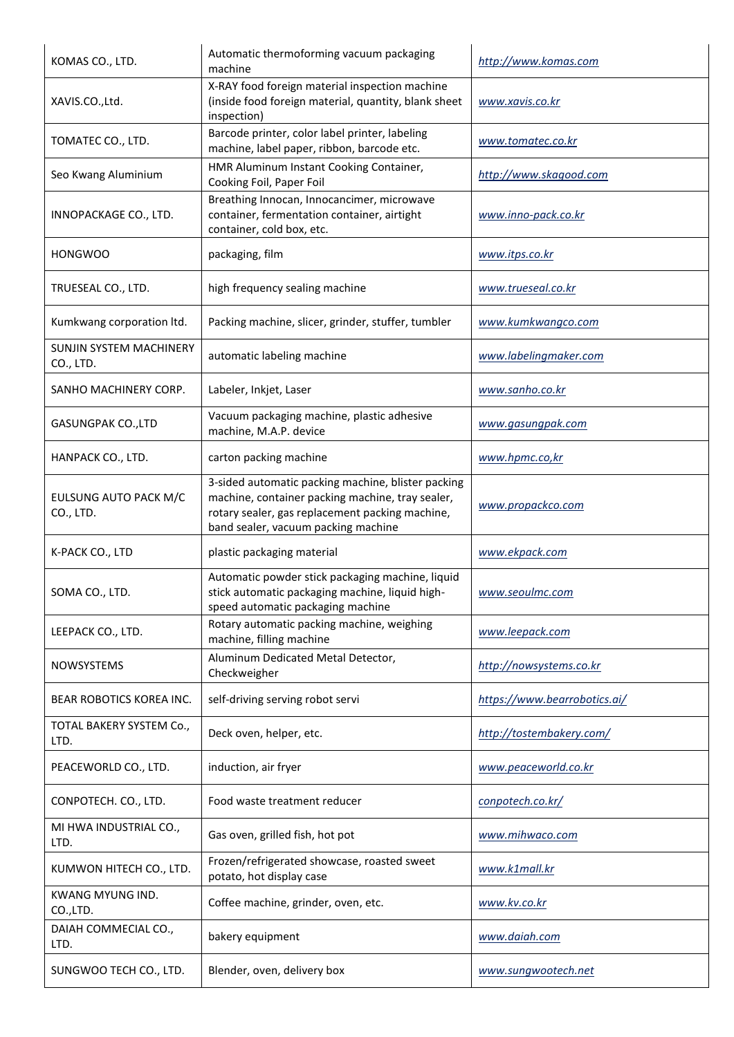| KOMAS CO., LTD.                      | Automatic thermoforming vacuum packaging<br>machine                                                                                                                                              | http://www.komas.com         |
|--------------------------------------|--------------------------------------------------------------------------------------------------------------------------------------------------------------------------------------------------|------------------------------|
| XAVIS.CO.,Ltd.                       | X-RAY food foreign material inspection machine<br>(inside food foreign material, quantity, blank sheet<br>inspection)                                                                            | www.xavis.co.kr              |
| TOMATEC CO., LTD.                    | Barcode printer, color label printer, labeling<br>machine, label paper, ribbon, barcode etc.                                                                                                     | www.tomatec.co.kr            |
| Seo Kwang Aluminium                  | HMR Aluminum Instant Cooking Container,<br>Cooking Foil, Paper Foil                                                                                                                              | http://www.skagood.com       |
| INNOPACKAGE CO., LTD.                | Breathing Innocan, Innocancimer, microwave<br>container, fermentation container, airtight<br>container, cold box, etc.                                                                           | www.inno-pack.co.kr          |
| <b>HONGWOO</b>                       | packaging, film                                                                                                                                                                                  | <u>www.itps.co.kr</u>        |
| TRUESEAL CO., LTD.                   | high frequency sealing machine                                                                                                                                                                   | www.trueseal.co.kr           |
| Kumkwang corporation ltd.            | Packing machine, slicer, grinder, stuffer, tumbler                                                                                                                                               | www.kumkwangco.com           |
| SUNJIN SYSTEM MACHINERY<br>CO., LTD. | automatic labeling machine                                                                                                                                                                       | www.labelingmaker.com        |
| SANHO MACHINERY CORP.                | Labeler, Inkjet, Laser                                                                                                                                                                           | www.sanho.co.kr              |
| <b>GASUNGPAK CO., LTD</b>            | Vacuum packaging machine, plastic adhesive<br>machine, M.A.P. device                                                                                                                             | www.gasungpak.com            |
| HANPACK CO., LTD.                    | carton packing machine                                                                                                                                                                           | www.hpmc.co,kr               |
| EULSUNG AUTO PACK M/C<br>CO., LTD.   | 3-sided automatic packing machine, blister packing<br>machine, container packing machine, tray sealer,<br>rotary sealer, gas replacement packing machine,<br>band sealer, vacuum packing machine | www.propackco.com            |
| K-PACK CO., LTD                      | plastic packaging material                                                                                                                                                                       | www.ekpack.com               |
| SOMA CO., LTD.                       | Automatic powder stick packaging machine, liquid<br>stick automatic packaging machine, liquid high-<br>speed automatic packaging machine                                                         | www.seoulmc.com              |
| LEEPACK CO., LTD.                    | Rotary automatic packing machine, weighing<br>machine, filling machine                                                                                                                           | www.leepack.com              |
| <b>NOWSYSTEMS</b>                    | Aluminum Dedicated Metal Detector,<br>Checkweigher                                                                                                                                               | http://nowsystems.co.kr      |
| <b>BEAR ROBOTICS KOREA INC.</b>      | self-driving serving robot servi                                                                                                                                                                 | https://www.bearrobotics.ai/ |
| TOTAL BAKERY SYSTEM Co.,<br>LTD.     | Deck oven, helper, etc.                                                                                                                                                                          | http://tostembakery.com/     |
| PEACEWORLD CO., LTD.                 | induction, air fryer                                                                                                                                                                             | www.peaceworld.co.kr         |
| CONPOTECH. CO., LTD.                 | Food waste treatment reducer                                                                                                                                                                     | conpotech.co.kr/             |
| MI HWA INDUSTRIAL CO.,<br>LTD.       | Gas oven, grilled fish, hot pot                                                                                                                                                                  | www.mihwaco.com              |
| KUMWON HITECH CO., LTD.              | Frozen/refrigerated showcase, roasted sweet<br>potato, hot display case                                                                                                                          | www.k1mall.kr                |
| KWANG MYUNG IND.<br>CO.,LTD.         | Coffee machine, grinder, oven, etc.                                                                                                                                                              | www.kv.co.kr                 |
| DAIAH COMMECIAL CO.,<br>LTD.         | bakery equipment                                                                                                                                                                                 | www.daiah.com                |
| SUNGWOO TECH CO., LTD.               | Blender, oven, delivery box                                                                                                                                                                      | www.sungwootech.net          |